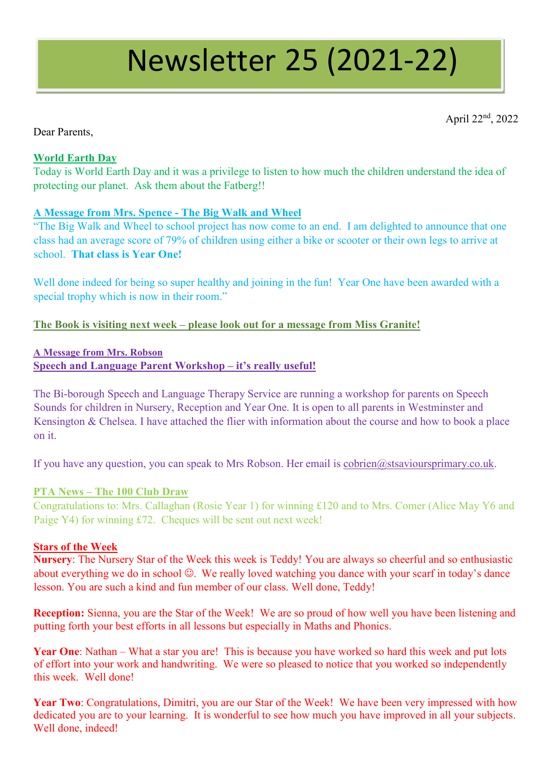# Newsletter 25 (2021-22)

April 22nd, 2022

# Dear Parents,

## **World Earth Day**

Today is World Earth Day and it was a privilege to listen to how much the children understand the idea of protecting our planet. Ask them about the Fatberg!!

# **A Message from Mrs. Spence - The Big Walk and Wheel**

"The Big Walk and Wheel to school project has now come to an end. I am delighted to announce that one class had an average score of 79% of children using either a bike or scooter or their own legs to arrive at school. **That class is Year One!** 

Well done indeed for being so super healthy and joining in the fun! Year One have been awarded with a special trophy which is now in their room."

#### **The Book is visiting next week – please look out for a message from Miss Granite!**

## **A Message from Mrs. Robson Speech and Language Parent Workshop – it's really useful!**

The Bi-borough Speech and Language Therapy Service are running a workshop for parents on Speech Sounds for children in Nursery, Reception and Year One. It is open to all parents in Westminster and Kensington & Chelsea. I have attached the flier with information about the course and how to book a place on it.

If you have any question, you can speak to Mrs Robson. Her email is [cobrien@stsavioursprimary.co.uk.](mailto:cobrien@stsavioursprimary.co.uk)

#### **PTA News – The 100 Club Draw**

Congratulations to: Mrs. Callaghan (Rosie Year 1) for winning £120 and to Mrs. Comer (Alice May Y6 and Paige Y4) for winning £72. Cheques will be sent out next week!

#### **Stars of the Week**

**Nursery**: The Nursery Star of the Week this week is Teddy! You are always so cheerful and so enthusiastic about everything we do in school  $\odot$ . We really loved watching you dance with your scarf in today's dance lesson. You are such a kind and fun member of our class. Well done, Teddy!

**Reception:** Sienna, you are the Star of the Week! We are so proud of how well you have been listening and putting forth your best efforts in all lessons but especially in Maths and Phonics.

**Year One**: Nathan – What a star you are! This is because you have worked so hard this week and put lots of effort into your work and handwriting. We were so pleased to notice that you worked so independently this week. Well done!

**Year Two**: Congratulations, Dimitri, you are our Star of the Week! We have been very impressed with how dedicated you are to your learning. It is wonderful to see how much you have improved in all your subjects. Well done, indeed!